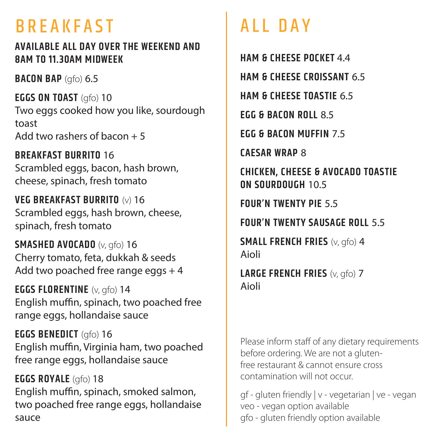# BREAKFAST ALL DAY

### **AVAILABLE ALL DAY OVER THE WEEKEND AND 8AM TO 11.30AM MIDWEEK**

**BACON BAP** (gfo) 6.5

**EGGS ON TOAST** (gfo) 10 Two eggs cooked how you like, sourdough toast Add two rashers of bacon  $+5$ 

**BREAKFAST BURRITO** 16 Scrambled eggs, bacon, hash brown, cheese, spinach, fresh tomato

**VEG BREAKFAST BURRITO** (v) 16 Scrambled eggs, hash brown, cheese, spinach, fresh tomato

**SMASHED AVOCADO** (v, gfo) 16 Cherry tomato, feta, dukkah & seeds Add two poached free range eggs  $+4$ 

**EGGS FLORENTINE** (v, gfo) 14 English muffin, spinach, two poached free range eggs, hollandaise sauce

**EGGS BENEDICT** (gfo) 16 English muffin, Virginia ham, two poached free range eggs, hollandaise sauce

**EGGS ROYALE** (gfo) 18 English muffin, spinach, smoked salmon, two poached free range eggs, hollandaise sauce

**HAM & CHEESE POCKET** 4.4 **HAM & CHEESE CROISSANT** 6.5 **HAM & CHEESE TOASTIE** 6.5 **EGG & BACON ROLL** 8.5 **EGG & BACON MUFFIN** 7.5 **CAESAR WRAP** 8 **CHICKEN, CHEESE & AVOCADO TOASTIE ON SOURDOUGH** 10.5 **FOUR'N TWENTY PIE** 5.5 **FOUR'N TWENTY SAUSAGE ROLL** 5.5 **SMALL FRENCH FRIES** (v, gfo) 4

Aioli

**LARGE FRENCH FRIES** (v, gfo) 7 Aioli

Please inform staff of any dietary requirements before ordering. We are not a glutenfree restaurant & cannot ensure cross contamination will not occur.

gf - gluten friendly | v - vegetarian | ve - vegan veo - vegan option available gfo - gluten friendly option available